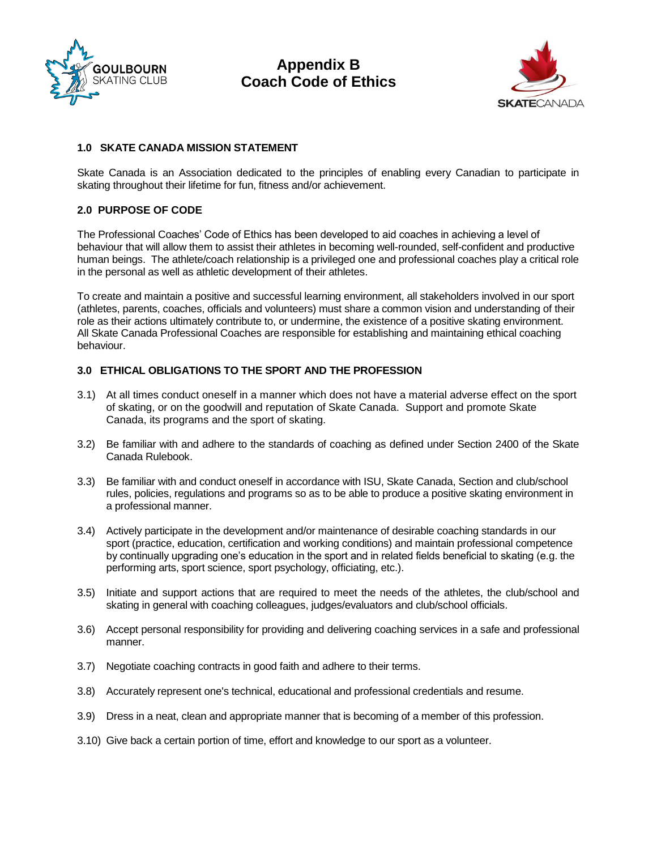



### **1.0 SKATE CANADA MISSION STATEMENT**

Skate Canada is an Association dedicated to the principles of enabling every Canadian to participate in skating throughout their lifetime for fun, fitness and/or achievement.

### **2.0 PURPOSE OF CODE**

The Professional Coaches' Code of Ethics has been developed to aid coaches in achieving a level of behaviour that will allow them to assist their athletes in becoming well-rounded, self-confident and productive human beings. The athlete/coach relationship is a privileged one and professional coaches play a critical role in the personal as well as athletic development of their athletes.

To create and maintain a positive and successful learning environment, all stakeholders involved in our sport (athletes, parents, coaches, officials and volunteers) must share a common vision and understanding of their role as their actions ultimately contribute to, or undermine, the existence of a positive skating environment. All Skate Canada Professional Coaches are responsible for establishing and maintaining ethical coaching behaviour.

### **3.0 ETHICAL OBLIGATIONS TO THE SPORT AND THE PROFESSION**

- 3.1) At all times conduct oneself in a manner which does not have a material adverse effect on the sport of skating, or on the goodwill and reputation of Skate Canada. Support and promote Skate Canada, its programs and the sport of skating.
- 3.2) Be familiar with and adhere to the standards of coaching as defined under Section 2400 of the Skate Canada Rulebook.
- 3.3) Be familiar with and conduct oneself in accordance with ISU, Skate Canada, Section and club/school rules, policies, regulations and programs so as to be able to produce a positive skating environment in a professional manner.
- 3.4) Actively participate in the development and/or maintenance of desirable coaching standards in our sport (practice, education, certification and working conditions) and maintain professional competence by continually upgrading one's education in the sport and in related fields beneficial to skating (e.g. the performing arts, sport science, sport psychology, officiating, etc.).
- 3.5) Initiate and support actions that are required to meet the needs of the athletes, the club/school and skating in general with coaching colleagues, judges/evaluators and club/school officials.
- 3.6) Accept personal responsibility for providing and delivering coaching services in a safe and professional manner.
- 3.7) Negotiate coaching contracts in good faith and adhere to their terms.
- 3.8) Accurately represent one's technical, educational and professional credentials and resume.
- 3.9) Dress in a neat, clean and appropriate manner that is becoming of a member of this profession.
- 3.10) Give back a certain portion of time, effort and knowledge to our sport as a volunteer.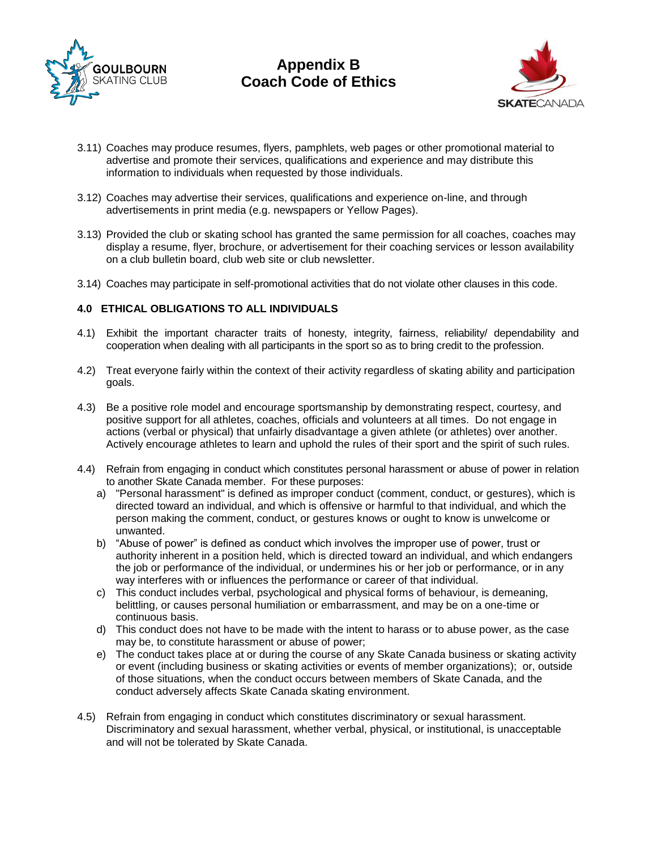



- 3.11) Coaches may produce resumes, flyers, pamphlets, web pages or other promotional material to advertise and promote their services, qualifications and experience and may distribute this information to individuals when requested by those individuals.
- 3.12) Coaches may advertise their services, qualifications and experience on-line, and through advertisements in print media (e.g. newspapers or Yellow Pages).
- 3.13) Provided the club or skating school has granted the same permission for all coaches, coaches may display a resume, flyer, brochure, or advertisement for their coaching services or lesson availability on a club bulletin board, club web site or club newsletter.
- 3.14) Coaches may participate in self-promotional activities that do not violate other clauses in this code.

## **4.0 ETHICAL OBLIGATIONS TO ALL INDIVIDUALS**

- 4.1) Exhibit the important character traits of honesty, integrity, fairness, reliability/ dependability and cooperation when dealing with all participants in the sport so as to bring credit to the profession.
- 4.2) Treat everyone fairly within the context of their activity regardless of skating ability and participation goals.
- 4.3) Be a positive role model and encourage sportsmanship by demonstrating respect, courtesy, and positive support for all athletes, coaches, officials and volunteers at all times. Do not engage in actions (verbal or physical) that unfairly disadvantage a given athlete (or athletes) over another. Actively encourage athletes to learn and uphold the rules of their sport and the spirit of such rules.
- 4.4) Refrain from engaging in conduct which constitutes personal harassment or abuse of power in relation to another Skate Canada member. For these purposes:
	- a) "Personal harassment" is defined as improper conduct (comment, conduct, or gestures), which is directed toward an individual, and which is offensive or harmful to that individual, and which the person making the comment, conduct, or gestures knows or ought to know is unwelcome or unwanted.
	- b) "Abuse of power" is defined as conduct which involves the improper use of power, trust or authority inherent in a position held, which is directed toward an individual, and which endangers the job or performance of the individual, or undermines his or her job or performance, or in any way interferes with or influences the performance or career of that individual.
	- c) This conduct includes verbal, psychological and physical forms of behaviour, is demeaning, belittling, or causes personal humiliation or embarrassment, and may be on a one-time or continuous basis.
	- d) This conduct does not have to be made with the intent to harass or to abuse power, as the case may be, to constitute harassment or abuse of power;
	- e) The conduct takes place at or during the course of any Skate Canada business or skating activity or event (including business or skating activities or events of member organizations); or, outside of those situations, when the conduct occurs between members of Skate Canada, and the conduct adversely affects Skate Canada skating environment.
- 4.5) Refrain from engaging in conduct which constitutes discriminatory or sexual harassment. Discriminatory and sexual harassment, whether verbal, physical, or institutional, is unacceptable and will not be tolerated by Skate Canada.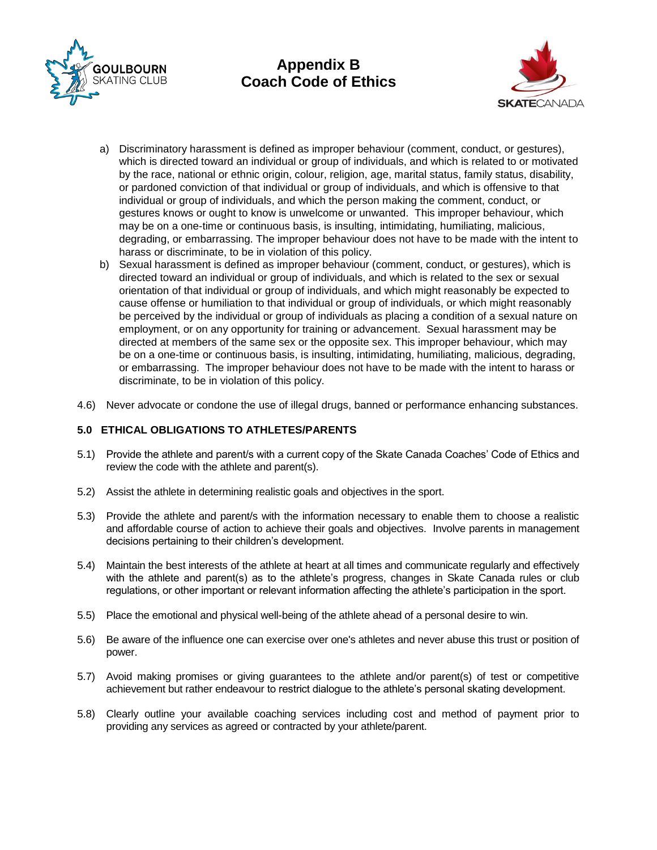



- a) Discriminatory harassment is defined as improper behaviour (comment, conduct, or gestures), which is directed toward an individual or group of individuals, and which is related to or motivated by the race, national or ethnic origin, colour, religion, age, marital status, family status, disability, or pardoned conviction of that individual or group of individuals, and which is offensive to that individual or group of individuals, and which the person making the comment, conduct, or gestures knows or ought to know is unwelcome or unwanted. This improper behaviour, which may be on a one-time or continuous basis, is insulting, intimidating, humiliating, malicious, degrading, or embarrassing. The improper behaviour does not have to be made with the intent to harass or discriminate, to be in violation of this policy.
- b) Sexual harassment is defined as improper behaviour (comment, conduct, or gestures), which is directed toward an individual or group of individuals, and which is related to the sex or sexual orientation of that individual or group of individuals, and which might reasonably be expected to cause offense or humiliation to that individual or group of individuals, or which might reasonably be perceived by the individual or group of individuals as placing a condition of a sexual nature on employment, or on any opportunity for training or advancement. Sexual harassment may be directed at members of the same sex or the opposite sex. This improper behaviour, which may be on a one-time or continuous basis, is insulting, intimidating, humiliating, malicious, degrading, or embarrassing. The improper behaviour does not have to be made with the intent to harass or discriminate, to be in violation of this policy.
- 4.6) Never advocate or condone the use of illegal drugs, banned or performance enhancing substances.

## **5.0 ETHICAL OBLIGATIONS TO ATHLETES/PARENTS**

- 5.1) Provide the athlete and parent/s with a current copy of the Skate Canada Coaches' Code of Ethics and review the code with the athlete and parent(s).
- 5.2) Assist the athlete in determining realistic goals and objectives in the sport.
- 5.3) Provide the athlete and parent/s with the information necessary to enable them to choose a realistic and affordable course of action to achieve their goals and objectives. Involve parents in management decisions pertaining to their children's development.
- 5.4) Maintain the best interests of the athlete at heart at all times and communicate regularly and effectively with the athlete and parent(s) as to the athlete's progress, changes in Skate Canada rules or club regulations, or other important or relevant information affecting the athlete's participation in the sport.
- 5.5) Place the emotional and physical well-being of the athlete ahead of a personal desire to win.
- 5.6) Be aware of the influence one can exercise over one's athletes and never abuse this trust or position of power.
- 5.7) Avoid making promises or giving guarantees to the athlete and/or parent(s) of test or competitive achievement but rather endeavour to restrict dialogue to the athlete's personal skating development.
- 5.8) Clearly outline your available coaching services including cost and method of payment prior to providing any services as agreed or contracted by your athlete/parent.